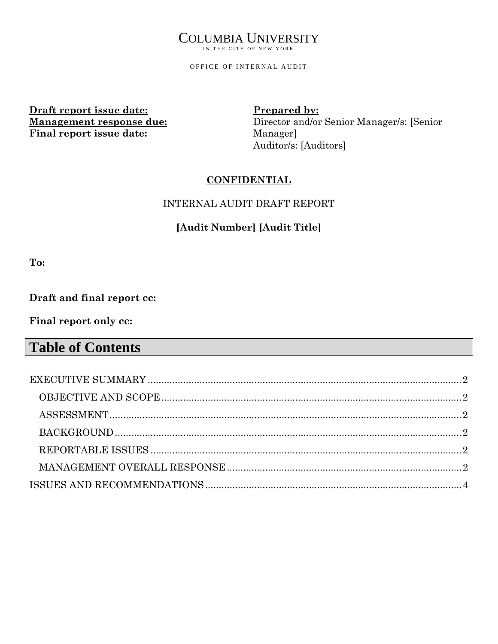# COLUMBIA UNIVERSITY

IN THE CITY OF NEW YORK

OFFICE OF INTERNAL AUDIT

**Draft report issue date: Management response due: Final report issue date:**

**Prepared by:**  Director and/or Senior Manager/s: [Senior Manager] Auditor/s: [Auditors]

## **CONFIDENTIAL**

## INTERNAL AUDIT DRAFT REPORT

# **[Audit Number] [Audit Title]**

**To:** 

## **Draft and final report cc:**

**Final report only cc:**

# **Table of Contents**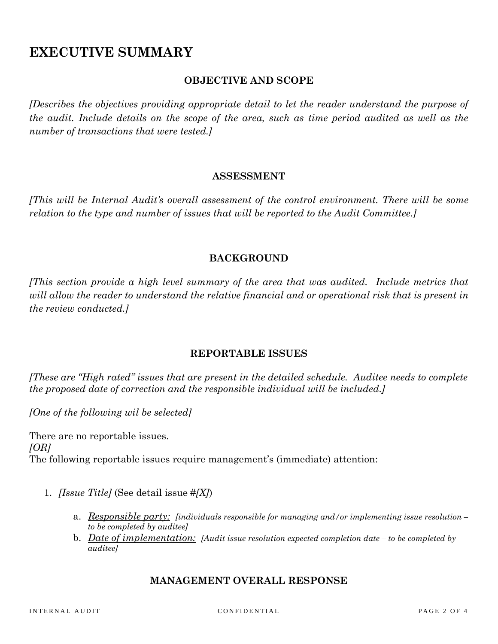# **EXECUTIVE SUMMARY**

### **OBJECTIVE AND SCOPE**

*[Describes the objectives providing appropriate detail to let the reader understand the purpose of the audit. Include details on the scope of the area, such as time period audited as well as the number of transactions that were tested.]* 

#### **ASSESSMENT**

*[This will be Internal Audit's overall assessment of the control environment. There will be some relation to the type and number of issues that will be reported to the Audit Committee.]* 

### **BACKGROUND**

*[This section provide a high level summary of the area that was audited. Include metrics that will allow the reader to understand the relative financial and or operational risk that is present in the review conducted.]* 

### **REPORTABLE ISSUES**

*[These are "High rated" issues that are present in the detailed schedule. Auditee needs to complete the proposed date of correction and the responsible individual will be included.]* 

*[One of the following wil be selected]* 

There are no reportable issues. *[OR]*  The following reportable issues require management's (immediate) attention:

- 1. *[Issue Title]* (See detail issue #*[X]*)
	- a. *Responsible party: [individuals responsible for managing and/or implementing issue resolution to be completed by auditee]*
	- b. *Date of implementation: [Audit issue resolution expected completion date to be completed by auditee]*

#### **MANAGEMENT OVERALL RESPONSE**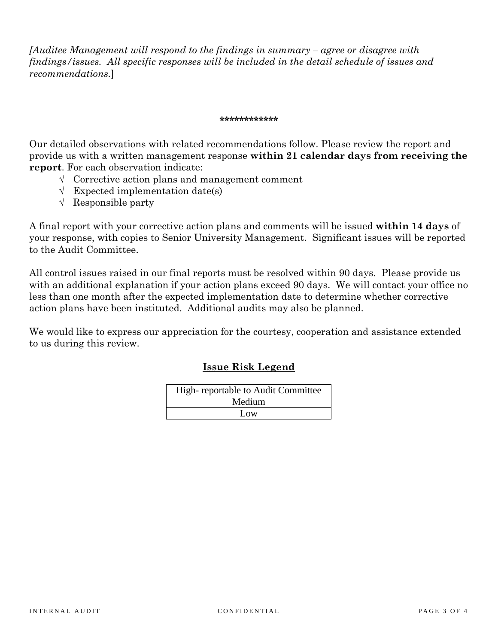*[Auditee Management will respond to the findings in summary – agree or disagree with findings/issues. All specific responses will be included in the detail schedule of issues and recommendations.*]

#### **\*\*\*\*\*\*\*\*\*\*\*\***

Our detailed observations with related recommendations follow. Please review the report and provide us with a written management response **within 21 calendar days from receiving the report**. For each observation indicate:

- √ Corrective action plans and management comment
- √ Expected implementation date(s)
- √ Responsible party

A final report with your corrective action plans and comments will be issued **within 14 days** of your response, with copies to Senior University Management. Significant issues will be reported to the Audit Committee.

All control issues raised in our final reports must be resolved within 90 days. Please provide us with an additional explanation if your action plans exceed 90 days. We will contact your office no less than one month after the expected implementation date to determine whether corrective action plans have been instituted. Additional audits may also be planned.

We would like to express our appreciation for the courtesy, cooperation and assistance extended to us during this review.

### **Issue Risk Legend**

| High-reportable to Audit Committee |  |  |  |  |
|------------------------------------|--|--|--|--|
| Medium                             |  |  |  |  |
| Low.                               |  |  |  |  |